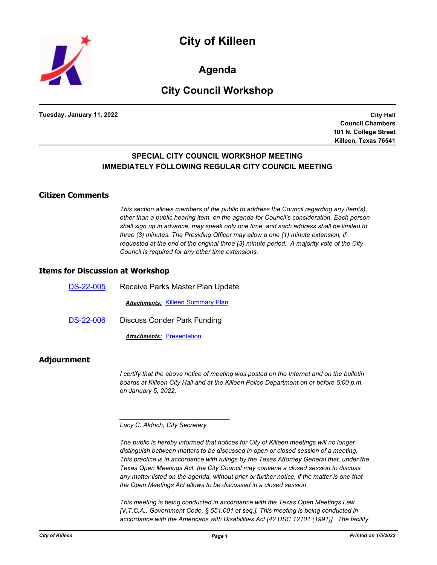

**Agenda**

# **City Council Workshop**

**Tuesday, January 11, 2022**

**City Hall Council Chambers 101 N. College Street Killeen, Texas 76541**

### **SPECIAL CITY COUNCIL WORKSHOP MEETING IMMEDIATELY FOLLOWING REGULAR CITY COUNCIL MEETING**

#### **Citizen Comments**

*This section allows members of the public to address the Council regarding any item(s), other than a public hearing item, on the agenda for Council's consideration. Each person shall sign up in advance, may speak only one time, and such address shall be limited to three (3) minutes. The Presiding Officer may allow a one (1) minute extension, if requested at the end of the original three (3) minute period. A majority vote of the City Council is required for any other time extensions.*

#### **Items for Discussion at Workshop**

| <b>DS-22-005</b> | Receive Parks Master Plan Update         |
|------------------|------------------------------------------|
|                  | <b>Attachments: Killeen Summary Plan</b> |
| <b>DS-22-006</b> | Discuss Conder Park Funding              |
|                  | <b>Attachments: Presentation</b>         |

#### **Adjournment**

*I* certify that the above notice of meeting was posted on the Internet and on the bulletin *boards at Killeen City Hall and at the Killeen Police Department on or before 5:00 p.m. on January 5, 2022.*

*Lucy C. Aldrich, City Secretary* 

*\_\_\_\_\_\_\_\_\_\_\_\_\_\_\_\_\_\_\_\_\_\_\_\_\_\_\_\_\_\_\_*

*The public is hereby informed that notices for City of Killeen meetings will no longer distinguish between matters to be discussed in open or closed session of a meeting. This practice is in accordance with rulings by the Texas Attorney General that, under the Texas Open Meetings Act, the City Council may convene a closed session to discuss any matter listed on the agenda, without prior or further notice, if the matter is one that the Open Meetings Act allows to be discussed in a closed session.*

*This meeting is being conducted in accordance with the Texas Open Meetings Law [V.T.C.A., Government Code, § 551.001 et seq.]. This meeting is being conducted in accordance with the Americans with Disabilities Act [42 USC 12101 (1991)]. The facility*